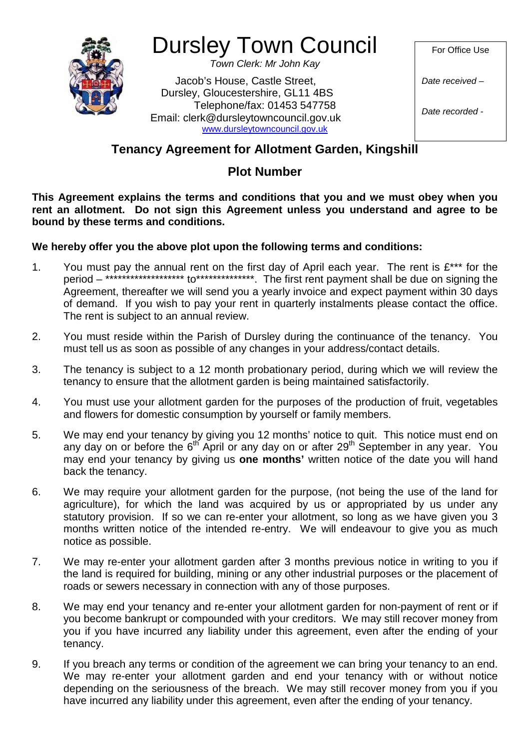

# Dursley Town Council

*Town Clerk: Mr John Kay* Jacob's House, Castle Street, Dursley, Gloucestershire, GL11 4BS Telephone/fax: 01453 547758 Email: clerk@dursleytowncouncil.gov.uk [www.dursleytowncouncil.gov.uk](http://www.dursleytowncouncil.gov.uk/)

For Office Use

*Date received –*

*Date recorded -*

## **Tenancy Agreement for Allotment Garden, Kingshill**

### **Plot Number**

**This Agreement explains the terms and conditions that you and we must obey when you rent an allotment. Do not sign this Agreement unless you understand and agree to be bound by these terms and conditions.**

#### **We hereby offer you the above plot upon the following terms and conditions:**

- 1. You must pay the annual rent on the first day of April each year. The rent is £\*\*\* for the \*\*\*\*\*\*\* to\*\*\*\*\*\*\*\*\*\*\*\*\*\*\*\*. The first rent payment shall be due on signing the Agreement, thereafter we will send you a yearly invoice and expect payment within 30 days of demand. If you wish to pay your rent in quarterly instalments please contact the office. The rent is subject to an annual review.
- 2. You must reside within the Parish of Dursley during the continuance of the tenancy. You must tell us as soon as possible of any changes in your address/contact details.
- 3. The tenancy is subject to a 12 month probationary period, during which we will review the tenancy to ensure that the allotment garden is being maintained satisfactorily.
- 4. You must use your allotment garden for the purposes of the production of fruit, vegetables and flowers for domestic consumption by yourself or family members.
- 5. We may end your tenancy by giving you 12 months' notice to quit. This notice must end on any day on or before the  $6<sup>th</sup>$  April or any day on or after 29<sup>th</sup> September in any year. You may end your tenancy by giving us **one months'** written notice of the date you will hand back the tenancy.
- 6. We may require your allotment garden for the purpose, (not being the use of the land for agriculture), for which the land was acquired by us or appropriated by us under any statutory provision. If so we can re-enter your allotment, so long as we have given you 3 months written notice of the intended re-entry. We will endeavour to give you as much notice as possible.
- 7. We may re-enter your allotment garden after 3 months previous notice in writing to you if the land is required for building, mining or any other industrial purposes or the placement of roads or sewers necessary in connection with any of those purposes.
- 8. We may end your tenancy and re-enter your allotment garden for non-payment of rent or if you become bankrupt or compounded with your creditors. We may still recover money from you if you have incurred any liability under this agreement, even after the ending of your tenancy.
- 9. If you breach any terms or condition of the agreement we can bring your tenancy to an end. We may re-enter your allotment garden and end your tenancy with or without notice depending on the seriousness of the breach. We may still recover money from you if you have incurred any liability under this agreement, even after the ending of your tenancy.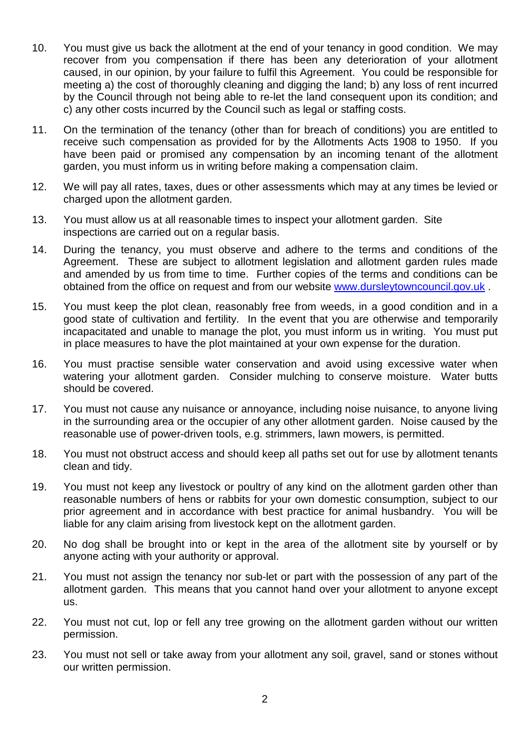- 10. You must give us back the allotment at the end of your tenancy in good condition. We may recover from you compensation if there has been any deterioration of your allotment caused, in our opinion, by your failure to fulfil this Agreement. You could be responsible for meeting a) the cost of thoroughly cleaning and digging the land; b) any loss of rent incurred by the Council through not being able to re-let the land consequent upon its condition; and c) any other costs incurred by the Council such as legal or staffing costs.
- 11. On the termination of the tenancy (other than for breach of conditions) you are entitled to receive such compensation as provided for by the Allotments Acts 1908 to 1950. If you have been paid or promised any compensation by an incoming tenant of the allotment garden, you must inform us in writing before making a compensation claim.
- 12. We will pay all rates, taxes, dues or other assessments which may at any times be levied or charged upon the allotment garden.
- 13. You must allow us at all reasonable times to inspect your allotment garden. Site inspections are carried out on a regular basis.
- 14. During the tenancy, you must observe and adhere to the terms and conditions of the Agreement. These are subject to allotment legislation and allotment garden rules made and amended by us from time to time. Further copies of the terms and conditions can be obtained from the office on request and from our website [www.dursleytowncouncil.gov.uk](http://www.dursleytowncouncil.gov.uk/) .
- 15. You must keep the plot clean, reasonably free from weeds, in a good condition and in a good state of cultivation and fertility. In the event that you are otherwise and temporarily incapacitated and unable to manage the plot, you must inform us in writing. You must put in place measures to have the plot maintained at your own expense for the duration.
- 16. You must practise sensible water conservation and avoid using excessive water when watering your allotment garden. Consider mulching to conserve moisture. Water butts should be covered.
- 17. You must not cause any nuisance or annoyance, including noise nuisance, to anyone living in the surrounding area or the occupier of any other allotment garden. Noise caused by the reasonable use of power-driven tools, e.g. strimmers, lawn mowers, is permitted.
- 18. You must not obstruct access and should keep all paths set out for use by allotment tenants clean and tidy.
- 19. You must not keep any livestock or poultry of any kind on the allotment garden other than reasonable numbers of hens or rabbits for your own domestic consumption, subject to our prior agreement and in accordance with best practice for animal husbandry. You will be liable for any claim arising from livestock kept on the allotment garden.
- 20. No dog shall be brought into or kept in the area of the allotment site by yourself or by anyone acting with your authority or approval.
- 21. You must not assign the tenancy nor sub-let or part with the possession of any part of the allotment garden. This means that you cannot hand over your allotment to anyone except us.
- 22. You must not cut, lop or fell any tree growing on the allotment garden without our written permission.
- 23. You must not sell or take away from your allotment any soil, gravel, sand or stones without our written permission.